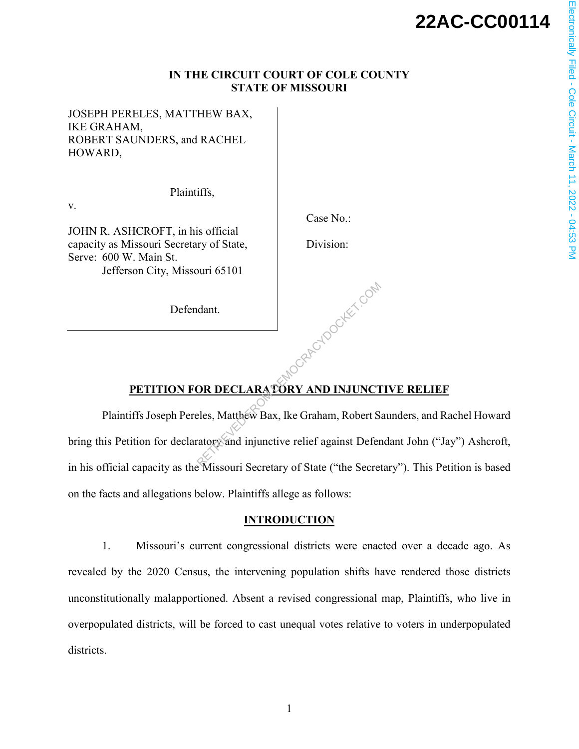# **22AC-CC00114**

## **IN THE CIRCUIT COURT OF COLE COUNTY STATE OF MISSOURI**

JOSEPH PERELES, MATTHEW BAX, IKE GRAHAM, ROBERT SAUNDERS, and RACHEL HOWARD,

v.

JOHN R. ASHCROFT, in his official capacity as Missouri Secretary of State, Serve: 600 W. Main St. Jefferson City, Missouri 65101

Defendant.

Plaintiffs,

Case No.:

Division:

-Republication

# **PETITION FOR DECLARATORY AND INJUNCTIVE RELIEF**

Plaintiffs Joseph Pereles, Matthew Bax, Ike Graham, Robert Saunders, and Rachel Howard bring this Petition for declaratory and injunctive relief against Defendant John ("Jay") Ashcroft, in his official capacity as the Missouri Secretary of State ("the Secretary"). This Petition is based on the facts and allegations below. Plaintiffs allege as follows:

## **INTRODUCTION**

1. Missouri's current congressional districts were enacted over a decade ago. As revealed by the 2020 Census, the intervening population shifts have rendered those districts unconstitutionally malapportioned. Absent a revised congressional map, Plaintiffs, who live in overpopulated districts, will be forced to cast unequal votes relative to voters in underpopulated districts.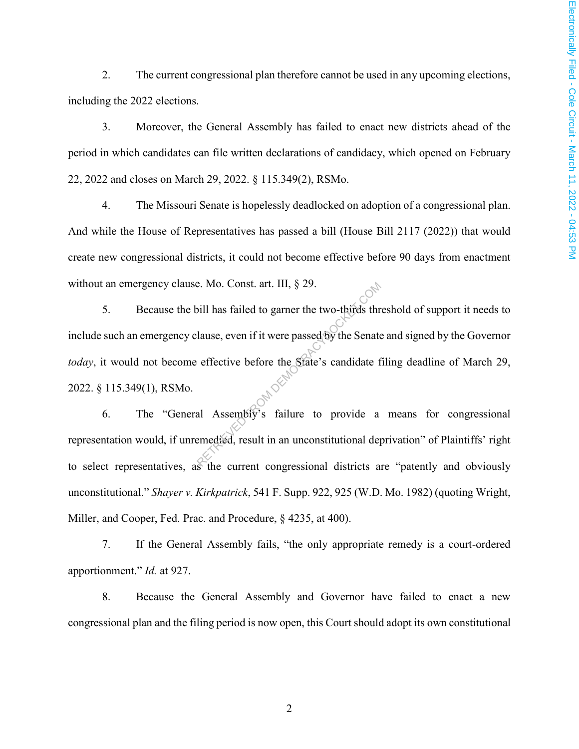2. The current congressional plan therefore cannot be used in any upcoming elections, including the 2022 elections.

3. Moreover, the General Assembly has failed to enact new districts ahead of the period in which candidates can file written declarations of candidacy, which opened on February 22, 2022 and closes on March 29, 2022. § 115.349(2), RSMo.

4. The Missouri Senate is hopelessly deadlocked on adoption of a congressional plan. And while the House of Representatives has passed a bill (House Bill 2117 (2022)) that would create new congressional districts, it could not become effective before 90 days from enactment without an emergency clause. Mo. Const. art. III,  $\S 29$ .

5. Because the bill has failed to garner the two-thirds threshold of support it needs to include such an emergency clause, even if it were passed by the Senate and signed by the Governor *today*, it would not become effective before the State's candidate filing deadline of March 29, 2022. § 115.349(1), RSMo. E. Mo. Const. art. III, § 29.<br>
bill has failed to garner the two-thirds thr<br>
lause, even if it were passed by the Senate<br>
effective before the State's candidate f<br>
al Assembly's failure to provide a<br>
emedied, result in an

6. The "General Assembly's failure to provide a means for congressional representation would, if unremedied, result in an unconstitutional deprivation" of Plaintiffs' right to select representatives, as the current congressional districts are "patently and obviously unconstitutional." *Shayer v. Kirkpatrick*, 541 F. Supp. 922, 925 (W.D. Mo. 1982) (quoting Wright, Miller, and Cooper, Fed. Prac. and Procedure, § 4235, at 400).

7. If the General Assembly fails, "the only appropriate remedy is a court-ordered apportionment." *Id.* at 927.

8. Because the General Assembly and Governor have failed to enact a new congressional plan and the filing period is now open, this Court should adopt its own constitutional

2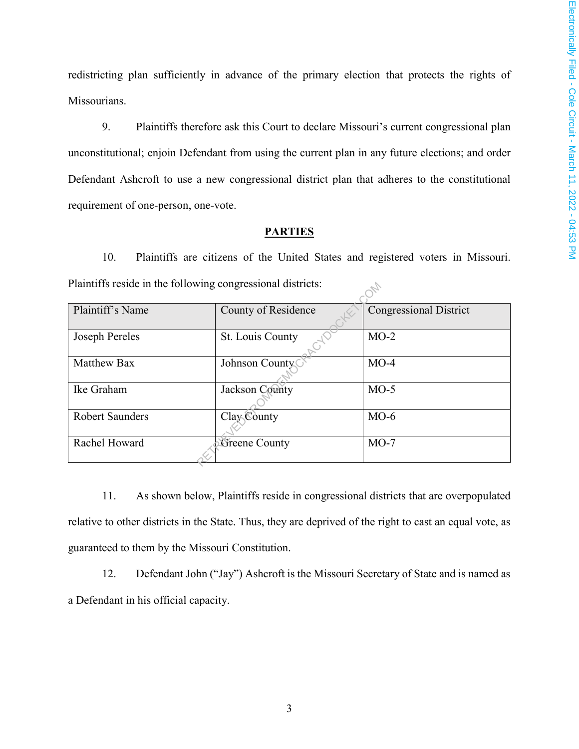redistricting plan sufficiently in advance of the primary election that protects the rights of Missourians.

9. Plaintiffs therefore ask this Court to declare Missouri's current congressional plan unconstitutional; enjoin Defendant from using the current plan in any future elections; and order Defendant Ashcroft to use a new congressional district plan that adheres to the constitutional requirement of one-person, one-vote.

# **PARTIES**

10. Plaintiffs are citizens of the United States and registered voters in Missouri. Plaintiffs reside in the following congressional districts:

| Plaintiffs reside in the following congressional districts: |                     |                               |  |  |  |  |
|-------------------------------------------------------------|---------------------|-------------------------------|--|--|--|--|
| Plaintiff's Name                                            | County of Residence | <b>Congressional District</b> |  |  |  |  |
| Joseph Pereles                                              | St. Louis County    | $MO-2$                        |  |  |  |  |
| <b>Matthew Bax</b>                                          | Johnson County      | $MO-4$                        |  |  |  |  |
| Ike Graham                                                  | Jackson County      | $MO-5$                        |  |  |  |  |
| <b>Robert Saunders</b>                                      | Clay County         | $MO-6$                        |  |  |  |  |
| Rachel Howard                                               | Greene County       | $MO-7$                        |  |  |  |  |

11. As shown below, Plaintiffs reside in congressional districts that are overpopulated relative to other districts in the State. Thus, they are deprived of the right to cast an equal vote, as guaranteed to them by the Missouri Constitution.

12. Defendant John ("Jay") Ashcroft is the Missouri Secretary of State and is named as a Defendant in his official capacity.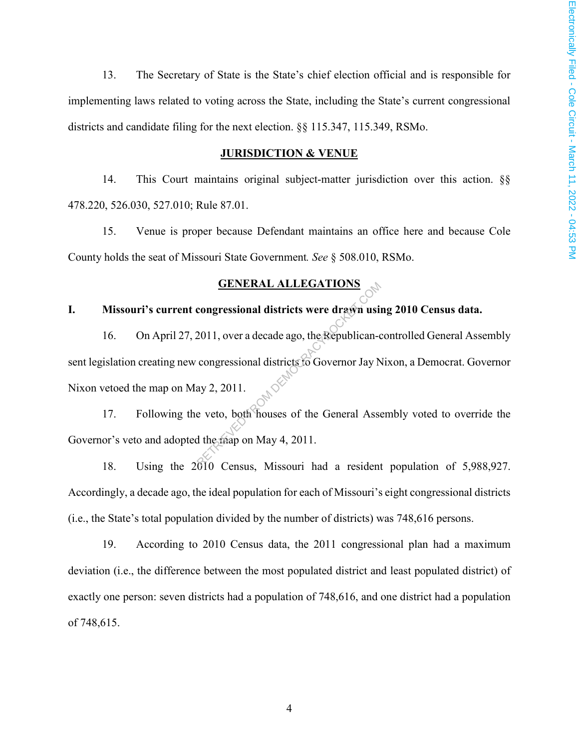13. The Secretary of State is the State's chief election official and is responsible for implementing laws related to voting across the State, including the State's current congressional districts and candidate filing for the next election. §§ 115.347, 115.349, RSMo.

#### **JURISDICTION & VENUE**

14. This Court maintains original subject-matter jurisdiction over this action. §§ 478.220, 526.030, 527.010; Rule 87.01.

15. Venue is proper because Defendant maintains an office here and because Cole County holds the seat of Missouri State Government*. See* § 508.010, RSMo.

## **GENERAL ALLEGATIONS**

# **I. Missouri's current congressional districts were drawn using 2010 Census data.**

16. On April 27, 2011, over a decade ago, the Republican-controlled General Assembly sent legislation creating new congressional districts to Governor Jay Nixon, a Democrat. Governor Nixon vetoed the map on May 2, 2011. GENERAL ALLEGATIONS<br>
congressional districts were drawn usin<br>
2011, over a decade ago, the Republican-congressional districts to Governor Jay N<br>
ay 2, 2011.<br>
e veto, both houses of the General Asset<br>
d the map on May 4, 20

17. Following the veto, both houses of the General Assembly voted to override the Governor's veto and adopted the map on May 4, 2011.

18. Using the 2010 Census, Missouri had a resident population of 5,988,927. Accordingly, a decade ago, the ideal population for each of Missouri's eight congressional districts (i.e., the State's total population divided by the number of districts) was 748,616 persons.

19. According to 2010 Census data, the 2011 congressional plan had a maximum deviation (i.e., the difference between the most populated district and least populated district) of exactly one person: seven districts had a population of 748,616, and one district had a population of 748,615.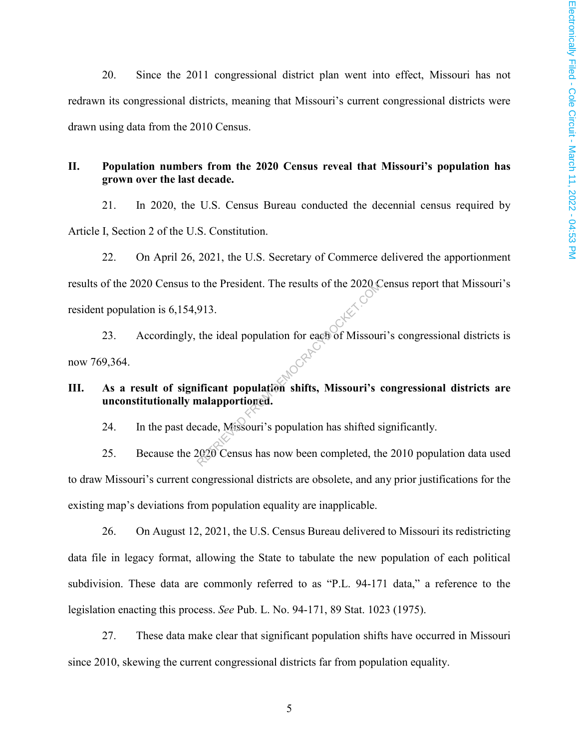20. Since the 2011 congressional district plan went into effect, Missouri has not redrawn its congressional districts, meaning that Missouri's current congressional districts were drawn using data from the 2010 Census.

# **II. Population numbers from the 2020 Census reveal that Missouri's population has grown over the last decade.**

21. In 2020, the U.S. Census Bureau conducted the decennial census required by Article I, Section 2 of the U.S. Constitution.

22. On April 26, 2021, the U.S. Secretary of Commerce delivered the apportionment results of the 2020 Census to the President. The results of the 2020 Census report that Missouri's resident population is 6,154,913.

23. Accordingly, the ideal population for each of Missouri's congressional districts is now 769,364. The President. The results of the 2020 (<br>913.<br>the ideal population for each of Missouri's<br>ificant population shifts, Missouri's enalapportioned.<br>cade, Missouri's population has shifted s<br>2020 Census has now been completed

# **III. As a result of significant population shifts, Missouri's congressional districts are unconstitutionally malapportioned.**

24. In the past decade, Missouri's population has shifted significantly.

25. Because the 2020 Census has now been completed, the 2010 population data used to draw Missouri's current congressional districts are obsolete, and any prior justifications for the existing map's deviations from population equality are inapplicable.

26. On August 12, 2021, the U.S. Census Bureau delivered to Missouri its redistricting data file in legacy format, allowing the State to tabulate the new population of each political subdivision. These data are commonly referred to as "P.L. 94-171 data," a reference to the legislation enacting this process. *See* Pub. L. No. 94-171, 89 Stat. 1023 (1975).

27. These data make clear that significant population shifts have occurred in Missouri since 2010, skewing the current congressional districts far from population equality.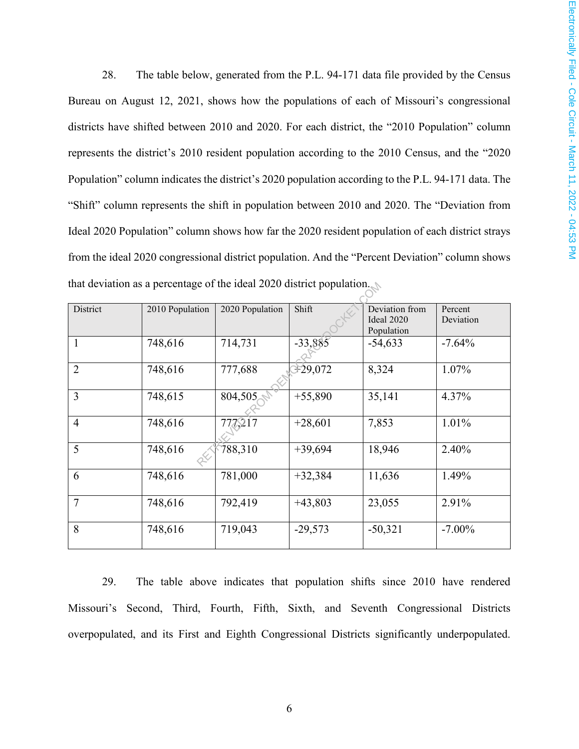28. The table below, generated from the P.L. 94-171 data file provided by the Census Bureau on August 12, 2021, shows how the populations of each of Missouri's congressional districts have shifted between 2010 and 2020. For each district, the "2010 Population" column represents the district's 2010 resident population according to the 2010 Census, and the "2020 Population" column indicates the district's 2020 population according to the P.L. 94-171 data. The "Shift" column represents the shift in population between 2010 and 2020. The "Deviation from Ideal 2020 Population" column shows how far the 2020 resident population of each district strays from the ideal 2020 congressional district population. And the "Percent Deviation" column shows that deviation as a percentage of the ideal 2020 district population.

| that deviation as a percentage of the ideal $2020$ district population. |                 |                 |           |                                            |                      |  |  |
|-------------------------------------------------------------------------|-----------------|-----------------|-----------|--------------------------------------------|----------------------|--|--|
| District                                                                | 2010 Population | 2020 Population | Shift     | Deviation from<br>Ideal 2020<br>Population | Percent<br>Deviation |  |  |
| 1                                                                       | 748,616         | 714,731         | $-33,885$ | $-54,633$                                  | $-7.64%$             |  |  |
| $\overline{2}$                                                          | 748,616         | 777,688         | 329,072   | 8,324                                      | $1.07\%$             |  |  |
| 3                                                                       | 748,615         | 804,505         | $+55,890$ | 35,141                                     | 4.37%                |  |  |
| $\overline{4}$                                                          | 748,616         | 777,217         | $+28,601$ | 7,853                                      | 1.01%                |  |  |
| 5                                                                       | 748,616         | 788,310         | $+39,694$ | 18,946                                     | 2.40%                |  |  |
| 6                                                                       | 748,616         | 781,000         | $+32,384$ | 11,636                                     | 1.49%                |  |  |
| $\overline{7}$                                                          | 748,616         | 792,419         | $+43,803$ | 23,055                                     | 2.91%                |  |  |
| 8                                                                       | 748,616         | 719,043         | $-29,573$ | $-50,321$                                  | $-7.00\%$            |  |  |

29. The table above indicates that population shifts since 2010 have rendered Missouri's Second, Third, Fourth, Fifth, Sixth, and Seventh Congressional Districts overpopulated, and its First and Eighth Congressional Districts significantly underpopulated.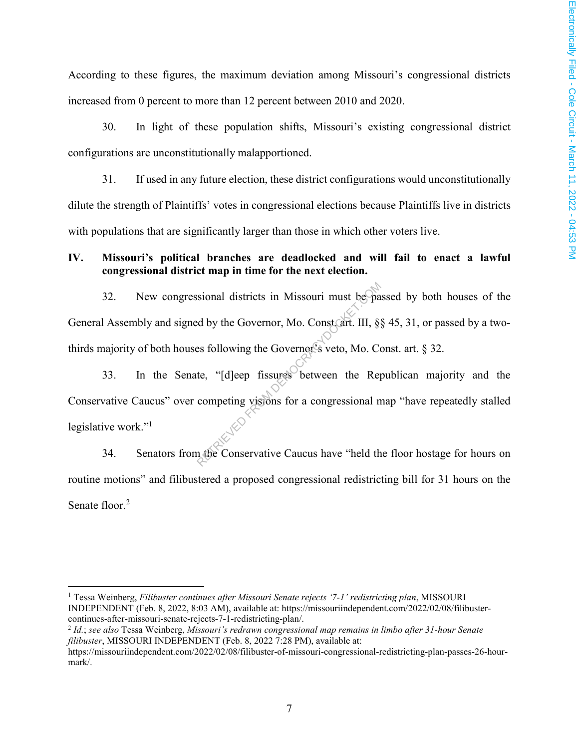According to these figures, the maximum deviation among Missouri's congressional districts increased from 0 percent to more than 12 percent between 2010 and 2020.

30. In light of these population shifts, Missouri's existing congressional district configurations are unconstitutionally malapportioned.

31. If used in any future election, these district configurations would unconstitutionally dilute the strength of Plaintiffs' votes in congressional elections because Plaintiffs live in districts with populations that are significantly larger than those in which other voters live.

# **IV. Missouri's political branches are deadlocked and will fail to enact a lawful congressional district map in time for the next election.**

32. New congressional districts in Missouri must be passed by both houses of the General Assembly and signed by the Governor, Mo. Const. art. III, §§ 45, 31, or passed by a twothirds majority of both houses following the Governor's veto, Mo. Const. art. § 32. sional districts in Missouri must be pa<br>d by the Governor, Mo. Constant. III, §<br>es following the Governor<sup>6</sup>s veto, Mo. Co<br>te, "[d]eep fissures between the Rep<br>competing visions for a congressional n<br>m the Conservative Cau

33. In the Senate, "[d]eep fissures between the Republican majority and the Conservative Caucus" over competing visions for a congressional map "have repeatedly stalled legislative work."<sup>1</sup>

34. Senators from the Conservative Caucus have "held the floor hostage for hours on routine motions" and filibustered a proposed congressional redistricting bill for 31 hours on the Senate floor.<sup>2</sup>

<u>.</u>

<sup>&</sup>lt;sup>1</sup> Tessa Weinberg, *Filibuster continues after Missouri Senate rejects '7-1' redistricting plan*, MISSOURI INDEPENDENT (Feb. 8, 2022, 8:03 AM), available at: https://missouriindependent.com/2022/02/08/filibustercontinues-after-missouri-senate-rejects-7-1-redistricting-plan/.

<sup>2</sup> *Id.*; *see also* Tessa Weinberg, *Missouri's redrawn congressional map remains in limbo after 31-hour Senate filibuster*, MISSOURI INDEPENDENT (Feb. 8, 2022 7:28 PM), available at:

https://missouriindependent.com/2022/02/08/filibuster-of-missouri-congressional-redistricting-plan-passes-26-hourmark/.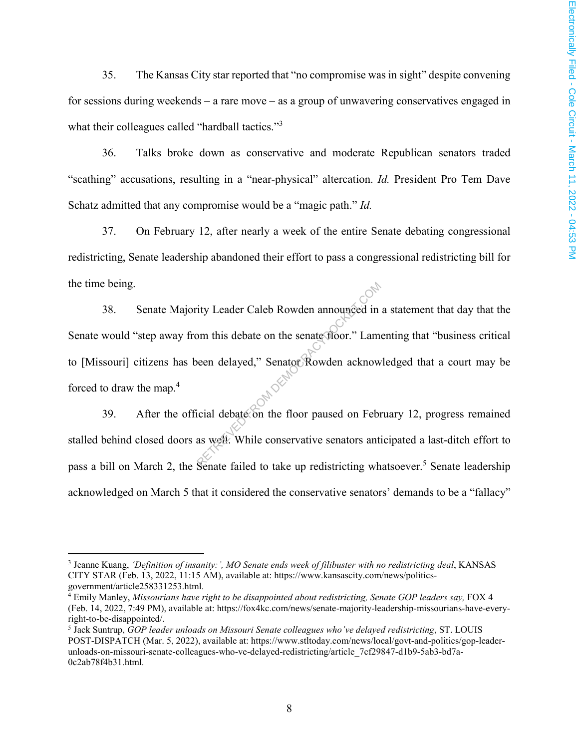35. The Kansas City star reported that "no compromise was in sight" despite convening for sessions during weekends – a rare move – as a group of unwavering conservatives engaged in what their colleagues called "hardball tactics."<sup>3</sup>

36. Talks broke down as conservative and moderate Republican senators traded "scathing" accusations, resulting in a "near-physical" altercation. *Id.* President Pro Tem Dave Schatz admitted that any compromise would be a "magic path." *Id.*

37. On February 12, after nearly a week of the entire Senate debating congressional redistricting, Senate leadership abandoned their effort to pass a congressional redistricting bill for the time being.

38. Senate Majority Leader Caleb Rowden announced in a statement that day that the Senate would "step away from this debate on the senate floor." Lamenting that "business critical to [Missouri] citizens has been delayed," Senator Rowden acknowledged that a court may be forced to draw the map.<sup>4</sup> The Senate Caleb Rowden announced in<br>the senate floor." Lame<br>the delayed," Senator Rowden acknow<br>icial debate on the floor paused on February<br>as well. While conservative senators anti-

39. After the official debate on the floor paused on February 12, progress remained stalled behind closed doors as well. While conservative senators anticipated a last-ditch effort to pass a bill on March 2, the Senate failed to take up redistricting whatsoever.<sup>5</sup> Senate leadership acknowledged on March 5 that it considered the conservative senators' demands to be a "fallacy"

 $\overline{a}$ 

<sup>3</sup> Jeanne Kuang, *'Definition of insanity:', MO Senate ends week of filibuster with no redistricting deal*, KANSAS CITY STAR (Feb. 13, 2022, 11:15 AM), available at: https://www.kansascity.com/news/politicsgovernment/article258331253.html.

<sup>&</sup>lt;sup>4</sup> Emily Manley, *Missourians have right to be disappointed about redistricting, Senate GOP leaders say, FOX 4* (Feb. 14, 2022, 7:49 PM), available at: https://fox4kc.com/news/senate-majority-leadership-missourians-have-everyright-to-be-disappointed/.

<sup>5</sup> Jack Suntrup, *GOP leader unloads on Missouri Senate colleagues who've delayed redistricting*, ST. LOUIS POST-DISPATCH (Mar. 5, 2022), available at: https://www.stltoday.com/news/local/govt-and-politics/gop-leaderunloads-on-missouri-senate-colleagues-who-ve-delayed-redistricting/article\_7cf29847-d1b9-5ab3-bd7a-0c2ab78f4b31.html.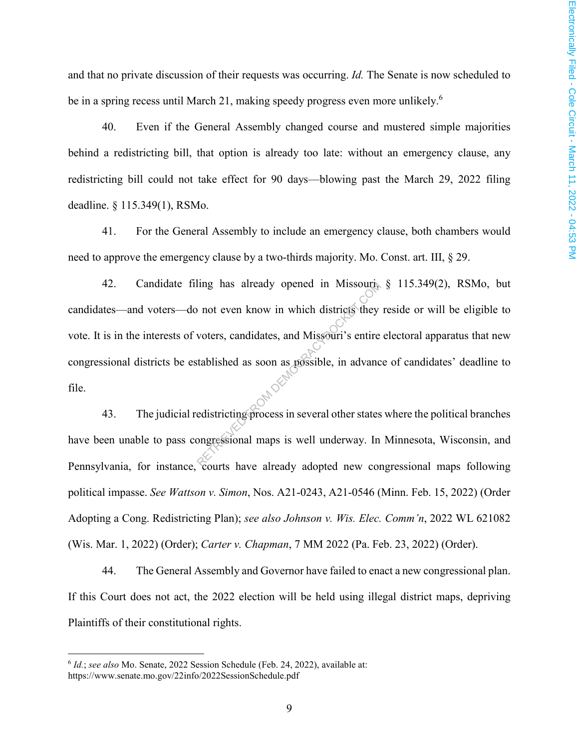and that no private discussion of their requests was occurring. *Id.* The Senate is now scheduled to be in a spring recess until March 21, making speedy progress even more unlikely.<sup>6</sup>

40. Even if the General Assembly changed course and mustered simple majorities behind a redistricting bill, that option is already too late: without an emergency clause, any redistricting bill could not take effect for 90 days—blowing past the March 29, 2022 filing deadline. § 115.349(1), RSMo.

41. For the General Assembly to include an emergency clause, both chambers would need to approve the emergency clause by a two-thirds majority. Mo. Const. art. III, § 29.

42. Candidate filing has already opened in Missouri, § 115.349(2), RSMo, but candidates—and voters—do not even know in which districts they reside or will be eligible to vote. It is in the interests of voters, candidates, and Missouri's entire electoral apparatus that new congressional districts be established as soon as possible, in advance of candidates' deadline to file. Ing has already opened in Missouris<br>
not even know in which districts they<br>
voters, candidates, and Missouri's entire<br>
tablished as soon as possible, in advance<br>
edistricting process in several other states<br>
ongressional m

43. The judicial redistricting process in several other states where the political branches have been unable to pass congressional maps is well underway. In Minnesota, Wisconsin, and Pennsylvania, for instance, courts have already adopted new congressional maps following political impasse. *See Wattson v. Simon*, Nos. A21-0243, A21-0546 (Minn. Feb. 15, 2022) (Order Adopting a Cong. Redistricting Plan); *see also Johnson v. Wis. Elec. Comm'n*, 2022 WL 621082 (Wis. Mar. 1, 2022) (Order); *Carter v. Chapman*, 7 MM 2022 (Pa. Feb. 23, 2022) (Order).

44. The General Assembly and Governor have failed to enact a new congressional plan. If this Court does not act, the 2022 election will be held using illegal district maps, depriving Plaintiffs of their constitutional rights.

 $\overline{a}$ 

<sup>6</sup> *Id.*; *see also* Mo. Senate, 2022 Session Schedule (Feb. 24, 2022), available at: https://www.senate.mo.gov/22info/2022SessionSchedule.pdf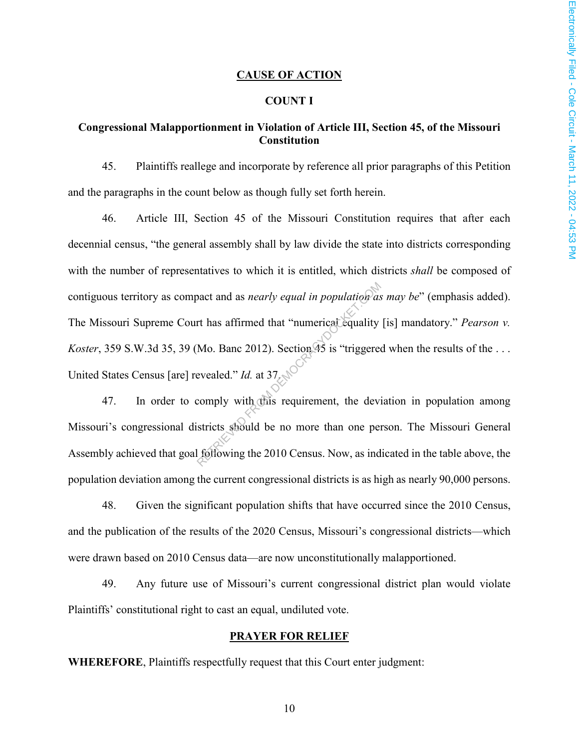#### **CAUSE OF ACTION**

#### **COUNT I**

# **Congressional Malapportionment in Violation of Article III, Section 45, of the Missouri Constitution**

45. Plaintiffs reallege and incorporate by reference all prior paragraphs of this Petition and the paragraphs in the count below as though fully set forth herein.

46. Article III, Section 45 of the Missouri Constitution requires that after each decennial census, "the general assembly shall by law divide the state into districts corresponding with the number of representatives to which it is entitled, which districts *shall* be composed of contiguous territory as compact and as *nearly equal in population as may be*" (emphasis added). The Missouri Supreme Court has affirmed that "numerical equality [is] mandatory." *Pearson v. Koster*, 359 S.W.3d 35, 39 (Mo. Banc 2012). Section  $45$  is "triggered when the results of the ... United States Census [are] revealed." *Id.* at 37. bact and as *nearly equal in population* as<br>
rt has affirmed that "numericat equality<br>
Mo. Banc 2012). Section 45 is "triggered<br>
evealed." Id. at 37.<br>
comply with this requirement, the devi-<br>
stricts should be no more than

47. In order to comply with this requirement, the deviation in population among Missouri's congressional districts should be no more than one person. The Missouri General Assembly achieved that goal following the 2010 Census. Now, as indicated in the table above, the population deviation among the current congressional districts is as high as nearly 90,000 persons.

48. Given the significant population shifts that have occurred since the 2010 Census, and the publication of the results of the 2020 Census, Missouri's congressional districts—which were drawn based on 2010 Census data—are now unconstitutionally malapportioned.

49. Any future use of Missouri's current congressional district plan would violate Plaintiffs' constitutional right to cast an equal, undiluted vote.

#### **PRAYER FOR RELIEF**

**WHEREFORE**, Plaintiffs respectfully request that this Court enter judgment: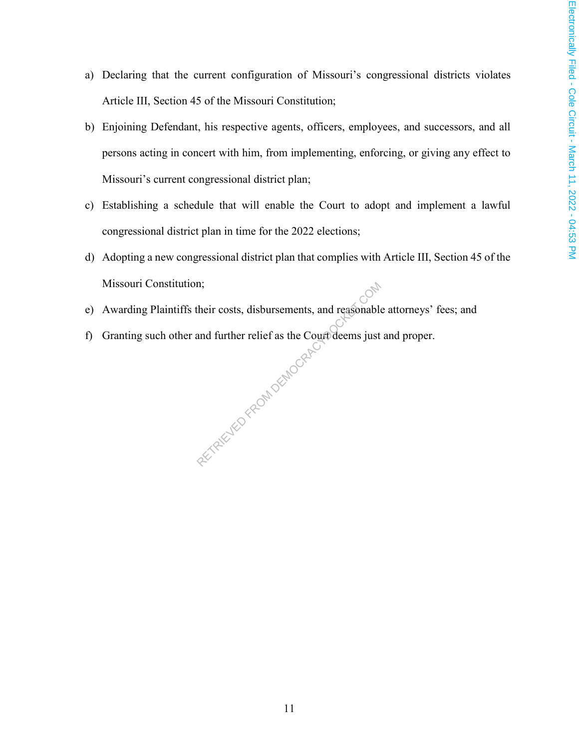- a) Declaring that the current configuration of Missouri's congressional districts violates Article III, Section 45 of the Missouri Constitution;
- b) Enjoining Defendant, his respective agents, officers, employees, and successors, and all persons acting in concert with him, from implementing, enforcing, or giving any effect to Missouri's current congressional district plan;
- c) Establishing a schedule that will enable the Court to adopt and implement a lawful congressional district plan in time for the 2022 elections;
- d) Adopting a new congressional district plan that complies with Article III, Section 45 of the Missouri Constitution;
- e) Awarding Plaintiffs their costs, disbursements, and reasonable attorneys' fees; and
- f) Granting such other and further relief as the Court deems just and proper. RETRIEVED FROM DEMOCRAC